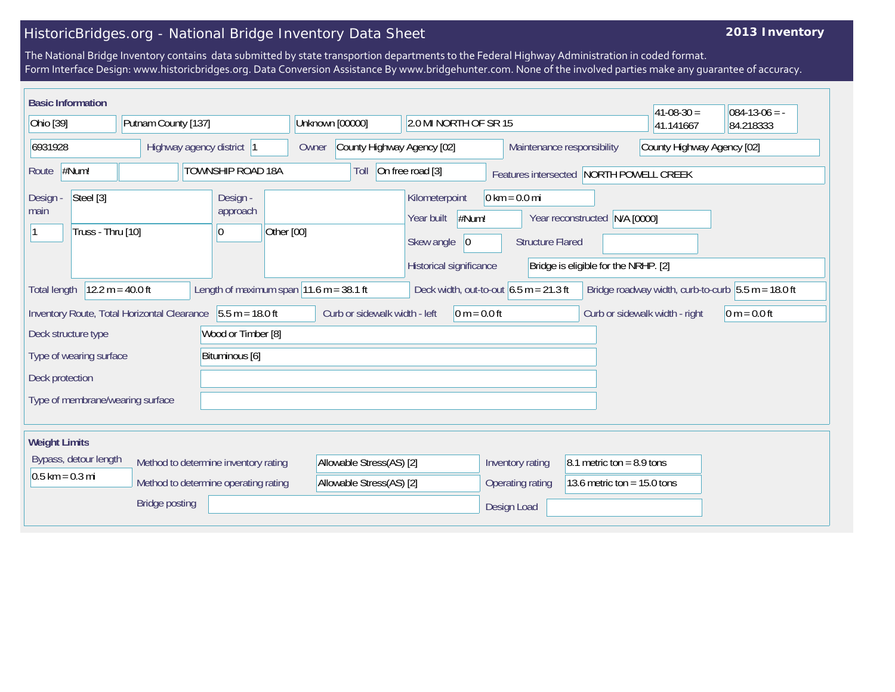## HistoricBridges.org - National Bridge Inventory Data Sheet

## **2013 Inventory**

The National Bridge Inventory contains data submitted by state transportion departments to the Federal Highway Administration in coded format. Form Interface Design: www.historicbridges.org. Data Conversion Assistance By www.bridgehunter.com. None of the involved parties make any guarantee of accuracy.

| <b>Basic Information</b>                                                               |                                |                                  |                                                                              |                 |                                                      |                                                                                       |                                                            |                                                                       | $ 41-08-30 $                   | $084-13-06 = -$                                      |
|----------------------------------------------------------------------------------------|--------------------------------|----------------------------------|------------------------------------------------------------------------------|-----------------|------------------------------------------------------|---------------------------------------------------------------------------------------|------------------------------------------------------------|-----------------------------------------------------------------------|--------------------------------|------------------------------------------------------|
| Ohio [39]                                                                              |                                | Putnam County [137]              |                                                                              | Unknown [00000] |                                                      | 2.0 MI NORTH OF SR 15                                                                 |                                                            |                                                                       | 41.141667                      | 84.218333                                            |
| 6931928                                                                                |                                |                                  | Highway agency district  1                                                   |                 | County Highway Agency [02]<br>Owner                  |                                                                                       | Maintenance responsibility                                 |                                                                       | County Highway Agency [02]     |                                                      |
| Route                                                                                  | #Num!                          |                                  | <b>TOWNSHIP ROAD 18A</b>                                                     |                 | Toll                                                 | On free road [3]                                                                      |                                                            | Features intersected NORTH POWELL CREEK                               |                                |                                                      |
| <b>Design</b><br>main                                                                  | Steel [3]<br>Truss - Thru [10] |                                  | Design -<br>approach<br> 0                                                   | Other [00]      |                                                      | Kilometerpoint<br>#Num!<br>Year built<br> 0 <br>Skew angle<br>Historical significance | $0 \text{ km} = 0.0 \text{ mi}$<br><b>Structure Flared</b> | Year reconstructed N/A [0000]<br>Bridge is eligible for the NRHP. [2] |                                |                                                      |
| <b>Total length</b>                                                                    |                                | $12.2 m = 40.0 ft$               | Length of maximum span $ 11.6 \text{ m} = 38.1 \text{ ft} $                  |                 |                                                      |                                                                                       | Deck width, out-to-out $6.5 \text{ m} = 21.3 \text{ ft}$   |                                                                       |                                | Bridge roadway width, curb-to-curb $5.5 m = 18.0 ft$ |
|                                                                                        |                                |                                  | Inventory Route, Total Horizontal Clearance 5.5 m = 18.0 ft                  |                 | Curb or sidewalk width - left                        | $0 m = 0.0 ft$                                                                        |                                                            |                                                                       | Curb or sidewalk width - right | $0 m = 0.0 ft$                                       |
| Wood or Timber [8]<br>Deck structure type<br>Bituminous [6]<br>Type of wearing surface |                                |                                  |                                                                              |                 |                                                      |                                                                                       |                                                            |                                                                       |                                |                                                      |
| Deck protection                                                                        |                                | Type of membrane/wearing surface |                                                                              |                 |                                                      |                                                                                       |                                                            |                                                                       |                                |                                                      |
| <b>Weight Limits</b>                                                                   |                                |                                  |                                                                              |                 |                                                      |                                                                                       |                                                            |                                                                       |                                |                                                      |
| $0.5$ km = 0.3 mi                                                                      | Bypass, detour length          |                                  | Method to determine inventory rating<br>Method to determine operating rating |                 | Allowable Stress(AS) [2]<br>Allowable Stress(AS) [2] |                                                                                       | Inventory rating<br>Operating rating                       | 8.1 metric ton = $8.9$ tons<br>13.6 metric ton = $15.0$ tons          |                                |                                                      |
|                                                                                        |                                | <b>Bridge posting</b>            |                                                                              |                 |                                                      |                                                                                       | Design Load                                                |                                                                       |                                |                                                      |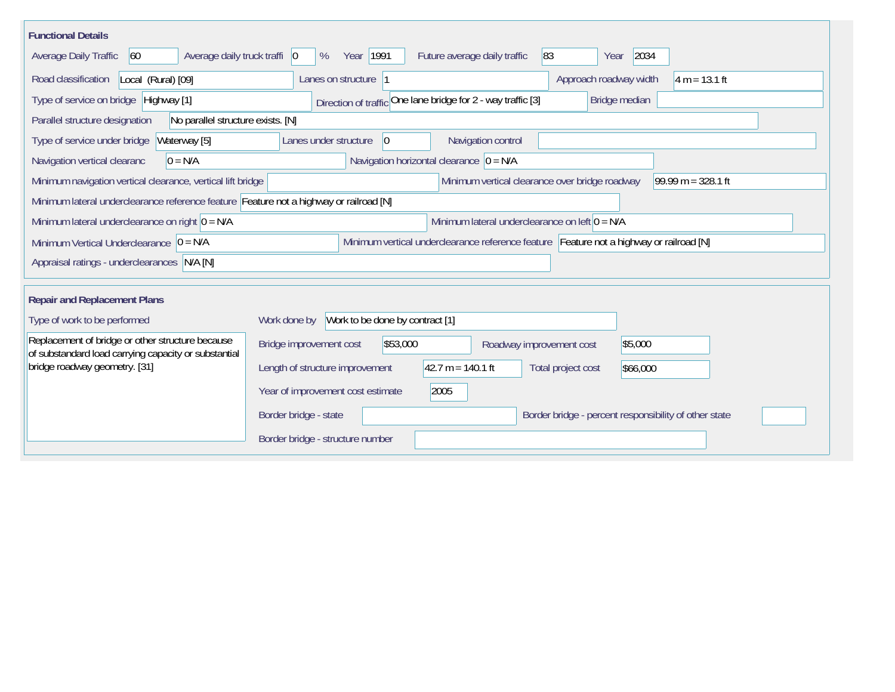| <b>Functional Details</b>                                                                                                             |                                                                                          |  |  |  |  |  |  |  |
|---------------------------------------------------------------------------------------------------------------------------------------|------------------------------------------------------------------------------------------|--|--|--|--|--|--|--|
| Average daily truck traffi   0<br>Average Daily Traffic<br>60                                                                         | 2034<br>Year   1991<br>83<br>Future average daily traffic<br>%<br>Year                   |  |  |  |  |  |  |  |
| Road classification<br>Local (Rural) [09]                                                                                             | Approach roadway width<br>$4 m = 13.1 ft$<br>Lanes on structure  1                       |  |  |  |  |  |  |  |
| Direction of traffic One lane bridge for 2 - way traffic [3]<br>Type of service on bridge Highway [1]<br>Bridge median                |                                                                                          |  |  |  |  |  |  |  |
| No parallel structure exists. [N]<br>Parallel structure designation                                                                   |                                                                                          |  |  |  |  |  |  |  |
| Waterway [5]<br>Type of service under bridge                                                                                          | 0 <br>Navigation control<br>Lanes under structure                                        |  |  |  |  |  |  |  |
| Navigation vertical clearanc<br>$0 = N/A$                                                                                             | Navigation horizontal clearance $ 0 = N/A$                                               |  |  |  |  |  |  |  |
| Minimum navigation vertical clearance, vertical lift bridge                                                                           | Minimum vertical clearance over bridge roadway<br>99.99 m = $328.1$ ft                   |  |  |  |  |  |  |  |
| Minimum lateral underclearance reference feature Feature not a highway or railroad [N]                                                |                                                                                          |  |  |  |  |  |  |  |
| Minimum lateral underclearance on right $ 0 = N/A$                                                                                    | Minimum lateral underclearance on left $0 = N/A$                                         |  |  |  |  |  |  |  |
| Minimum vertical underclearance reference feature Feature not a highway or railroad [N]<br>Minimum Vertical Underclearance $ 0 = N/A$ |                                                                                          |  |  |  |  |  |  |  |
| Appraisal ratings - underclearances N/A [N]                                                                                           |                                                                                          |  |  |  |  |  |  |  |
|                                                                                                                                       |                                                                                          |  |  |  |  |  |  |  |
| <b>Repair and Replacement Plans</b>                                                                                                   |                                                                                          |  |  |  |  |  |  |  |
| Type of work to be performed                                                                                                          | Work to be done by contract [1]<br>Work done by                                          |  |  |  |  |  |  |  |
| Replacement of bridge or other structure because<br>of substandard load carrying capacity or substantial                              | Bridge improvement cost<br>\$53,000<br>\$5,000<br>Roadway improvement cost               |  |  |  |  |  |  |  |
| bridge roadway geometry. [31]                                                                                                         | $42.7 m = 140.1 ft$<br>Length of structure improvement<br>Total project cost<br>\$66,000 |  |  |  |  |  |  |  |
|                                                                                                                                       | Year of improvement cost estimate<br>2005                                                |  |  |  |  |  |  |  |
|                                                                                                                                       | Border bridge - state<br>Border bridge - percent responsibility of other state           |  |  |  |  |  |  |  |
|                                                                                                                                       | Border bridge - structure number                                                         |  |  |  |  |  |  |  |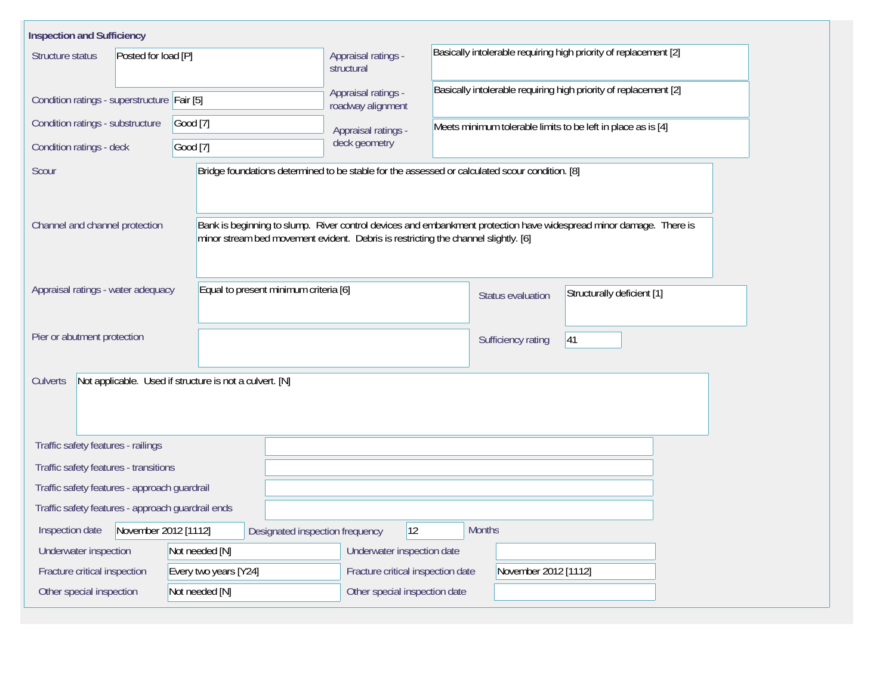| <b>Inspection and Sufficiency</b>                                                                           |                                                                                    |                                                                                                                                      |  |                    |                                                                                                                    |  |  |  |  |  |
|-------------------------------------------------------------------------------------------------------------|------------------------------------------------------------------------------------|--------------------------------------------------------------------------------------------------------------------------------------|--|--------------------|--------------------------------------------------------------------------------------------------------------------|--|--|--|--|--|
| Structure status<br>Posted for load [P]                                                                     | Appraisal ratings -<br>structural                                                  | Basically intolerable requiring high priority of replacement [2]<br>Basically intolerable requiring high priority of replacement [2] |  |                    |                                                                                                                    |  |  |  |  |  |
| Condition ratings - superstructure Fair [5]                                                                 | Appraisal ratings -<br>roadway alignment                                           |                                                                                                                                      |  |                    |                                                                                                                    |  |  |  |  |  |
| Condition ratings - substructure                                                                            | Appraisal ratings -                                                                | Meets minimum tolerable limits to be left in place as is [4]                                                                         |  |                    |                                                                                                                    |  |  |  |  |  |
| Condition ratings - deck                                                                                    | Good [7]                                                                           |                                                                                                                                      |  |                    |                                                                                                                    |  |  |  |  |  |
| Scour                                                                                                       |                                                                                    | Bridge foundations determined to be stable for the assessed or calculated scour condition. [8]                                       |  |                    |                                                                                                                    |  |  |  |  |  |
| Channel and channel protection                                                                              | minor stream bed movement evident. Debris is restricting the channel slightly. [6] |                                                                                                                                      |  |                    | Bank is beginning to slump. River control devices and embankment protection have widespread minor damage. There is |  |  |  |  |  |
| Appraisal ratings - water adequacy                                                                          | Equal to present minimum criteria [6]                                              |                                                                                                                                      |  | Status evaluation  | Structurally deficient [1]                                                                                         |  |  |  |  |  |
| Pier or abutment protection                                                                                 |                                                                                    |                                                                                                                                      |  | Sufficiency rating | 41                                                                                                                 |  |  |  |  |  |
| Not applicable. Used if structure is not a culvert. [N]<br>Culverts                                         |                                                                                    |                                                                                                                                      |  |                    |                                                                                                                    |  |  |  |  |  |
| Traffic safety features - railings                                                                          |                                                                                    |                                                                                                                                      |  |                    |                                                                                                                    |  |  |  |  |  |
| Traffic safety features - transitions                                                                       |                                                                                    |                                                                                                                                      |  |                    |                                                                                                                    |  |  |  |  |  |
| Traffic safety features - approach guardrail                                                                |                                                                                    |                                                                                                                                      |  |                    |                                                                                                                    |  |  |  |  |  |
| Traffic safety features - approach guardrail ends                                                           |                                                                                    |                                                                                                                                      |  |                    |                                                                                                                    |  |  |  |  |  |
| $ 12\rangle$<br>November 2012 [1112]<br><b>Months</b><br>Inspection date<br>Designated inspection frequency |                                                                                    |                                                                                                                                      |  |                    |                                                                                                                    |  |  |  |  |  |
| Underwater inspection                                                                                       | Not needed [N]                                                                     | Underwater inspection date                                                                                                           |  |                    |                                                                                                                    |  |  |  |  |  |
| Fracture critical inspection                                                                                |                                                                                    | Fracture critical inspection date<br>November 2012 [1112]                                                                            |  |                    |                                                                                                                    |  |  |  |  |  |
| Other special inspection                                                                                    | Not needed [N]                                                                     | Other special inspection date                                                                                                        |  |                    |                                                                                                                    |  |  |  |  |  |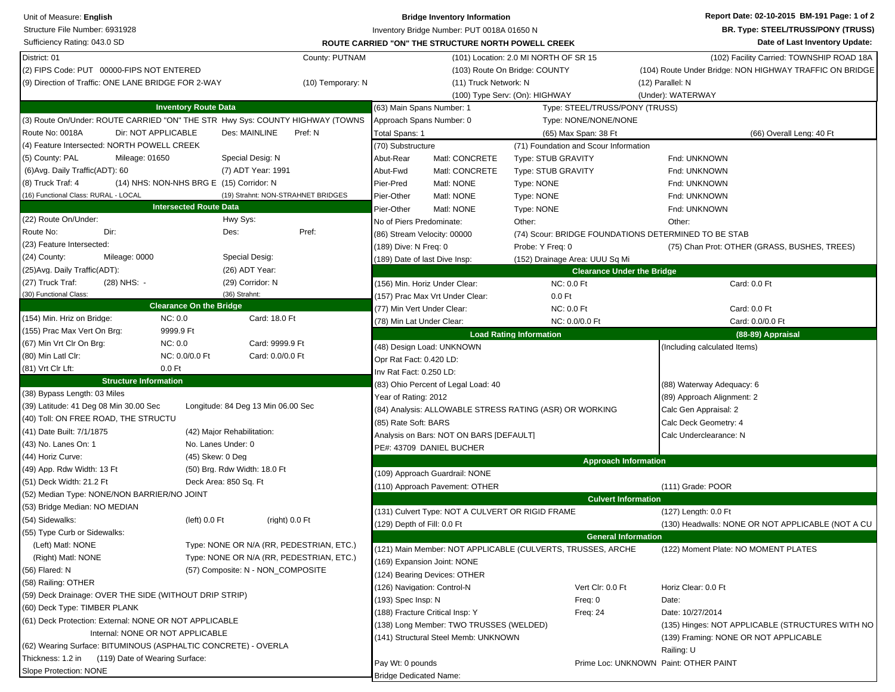| Unit of Measure: English                                                      |                                          | <b>Bridge Inventory Information</b>                                 |                                                      | Report Date: 02-10-2015 BM-191 Page: 1 of 2             |  |  |
|-------------------------------------------------------------------------------|------------------------------------------|---------------------------------------------------------------------|------------------------------------------------------|---------------------------------------------------------|--|--|
| Structure File Number: 6931928                                                |                                          | Inventory Bridge Number: PUT 0018A 01650 N                          |                                                      | <b>BR. Type: STEEL/TRUSS/PONY (TRUSS)</b>               |  |  |
| Sufficiency Rating: 043.0 SD                                                  |                                          | ROUTE CARRIED "ON" THE STRUCTURE NORTH POWELL CREEK                 |                                                      | Date of Last Inventory Update:                          |  |  |
| District: 01                                                                  | County: PUTNAM                           |                                                                     | (101) Location: 2.0 MI NORTH OF SR 15                | (102) Facility Carried: TOWNSHIP ROAD 18A               |  |  |
| (2) FIPS Code: PUT 00000-FIPS NOT ENTERED                                     |                                          |                                                                     | (103) Route On Bridge: COUNTY                        | (104) Route Under Bridge: NON HIGHWAY TRAFFIC ON BRIDGE |  |  |
| (9) Direction of Traffic: ONE LANE BRIDGE FOR 2-WAY                           | (10) Temporary: N                        | (11) Truck Network: N                                               |                                                      | (12) Parallel: N                                        |  |  |
|                                                                               |                                          |                                                                     | (100) Type Serv: (On): HIGHWAY                       | (Under): WATERWAY                                       |  |  |
| <b>Inventory Route Data</b>                                                   |                                          | (63) Main Spans Number: 1                                           | Type: STEEL/TRUSS/PONY (TRUSS)                       |                                                         |  |  |
| (3) Route On/Under: ROUTE CARRIED "ON" THE STR Hwy Sys: COUNTY HIGHWAY (TOWNS |                                          | Approach Spans Number: 0                                            | Type: NONE/NONE/NONE                                 |                                                         |  |  |
| Route No: 0018A<br>Dir: NOT APPLICABLE                                        | Des: MAINLINE<br>Pref: N                 | Total Spans: 1                                                      | (65) Max Span: 38 Ft                                 | (66) Overall Leng: 40 Ft                                |  |  |
| (4) Feature Intersected: NORTH POWELL CREEK                                   |                                          | (70) Substructure                                                   | (71) Foundation and Scour Information                |                                                         |  |  |
| (5) County: PAL<br>Mileage: 01650                                             | Special Desig: N                         | Abut-Rear<br>Matl: CONCRETE                                         | <b>Type: STUB GRAVITY</b>                            | Fnd: UNKNOWN                                            |  |  |
| (6) Avg. Daily Traffic (ADT): 60                                              | (7) ADT Year: 1991                       | Abut-Fwd<br>Matl: CONCRETE                                          | <b>Type: STUB GRAVITY</b>                            | Fnd: UNKNOWN                                            |  |  |
| (8) Truck Traf: 4<br>(14) NHS: NON-NHS BRG E (15) Corridor: N                 |                                          | Pier-Pred<br>Matl: NONE                                             | Type: NONE                                           | Fnd: UNKNOWN                                            |  |  |
| (16) Functional Class: RURAL - LOCAL                                          | (19) Strahnt: NON-STRAHNET BRIDGES       | Pier-Other<br>Matl: NONE                                            | Type: NONE                                           | Fnd: UNKNOWN                                            |  |  |
| <b>Intersected Route Data</b>                                                 |                                          | Pier-Other<br>Matl: NONE                                            | Type: NONE                                           | Fnd: UNKNOWN                                            |  |  |
| (22) Route On/Under:                                                          | Hwy Sys:                                 | No of Piers Predominate:                                            | Other:                                               | Other:                                                  |  |  |
| Dir:<br>Route No:                                                             | Pref:<br>Des:                            | (86) Stream Velocity: 00000                                         | (74) Scour: BRIDGE FOUNDATIONS DETERMINED TO BE STAB |                                                         |  |  |
| (23) Feature Intersected:                                                     |                                          | (189) Dive: N Freq: 0                                               | Probe: Y Freq: 0                                     | (75) Chan Prot: OTHER (GRASS, BUSHES, TREES)            |  |  |
| (24) County:<br>Mileage: 0000                                                 | Special Desig:                           | (189) Date of last Dive Insp:                                       | (152) Drainage Area: UUU Sq Mi                       |                                                         |  |  |
| (25) Avg. Daily Traffic (ADT):                                                | (26) ADT Year:                           |                                                                     | <b>Clearance Under the Bridge</b>                    |                                                         |  |  |
| (27) Truck Traf:<br>(28) NHS: -                                               | (29) Corridor: N                         | (156) Min. Horiz Under Clear:                                       | <b>NC: 0.0 Ft</b>                                    | Card: 0.0 Ft                                            |  |  |
| (30) Functional Class:                                                        | (36) Strahnt:                            | (157) Prac Max Vrt Under Clear:                                     | $0.0$ Ft                                             |                                                         |  |  |
| <b>Clearance On the Bridge</b>                                                |                                          | (77) Min Vert Under Clear:                                          | <b>NC: 0.0 Ft</b>                                    | Card: 0.0 Ft                                            |  |  |
| (154) Min. Hriz on Bridge:<br>NC: 0.0                                         | Card: 18.0 Ft                            | (78) Min Lat Under Clear:                                           | NC: 0.0/0.0 Ft                                       | Card: 0.0/0.0 Ft                                        |  |  |
| (155) Prac Max Vert On Brg:<br>9999.9 Ft                                      |                                          |                                                                     | <b>Load Rating Information</b>                       | (88-89) Appraisal                                       |  |  |
| NC:0.0<br>(67) Min Vrt Clr On Brg:                                            | Card: 9999.9 Ft                          | (48) Design Load: UNKNOWN                                           |                                                      | (Including calculated Items)                            |  |  |
| (80) Min Latl Clr:<br>NC: 0.0/0.0 Ft                                          | Card: 0.0/0.0 Ft                         | Opr Rat Fact: 0.420 LD:                                             |                                                      |                                                         |  |  |
| (81) Vrt Clr Lft:<br>$0.0$ Ft                                                 |                                          | Inv Rat Fact: 0.250 LD:                                             |                                                      |                                                         |  |  |
| <b>Structure Information</b>                                                  |                                          |                                                                     |                                                      |                                                         |  |  |
| (38) Bypass Length: 03 Miles                                                  |                                          | (83) Ohio Percent of Legal Load: 40<br>Year of Rating: 2012         |                                                      | (88) Waterway Adequacy: 6<br>(89) Approach Alignment: 2 |  |  |
| (39) Latitude: 41 Deg 08 Min 30.00 Sec                                        | Longitude: 84 Deg 13 Min 06.00 Sec       | (84) Analysis: ALLOWABLE STRESS RATING (ASR) OR WORKING             |                                                      |                                                         |  |  |
| (40) Toll: ON FREE ROAD, THE STRUCTU                                          |                                          | (85) Rate Soft: BARS                                                |                                                      | Calc Gen Appraisal: 2<br>Calc Deck Geometry: 4          |  |  |
| (41) Date Built: 7/1/1875                                                     | (42) Major Rehabilitation:               |                                                                     |                                                      |                                                         |  |  |
| (43) No. Lanes On: 1                                                          | No. Lanes Under: 0                       | Analysis on Bars: NOT ON BARS [DEFAULT]<br>PE#: 43709 DANIEL BUCHER |                                                      | Calc Underclearance: N                                  |  |  |
| (44) Horiz Curve:                                                             | (45) Skew: 0 Deg                         |                                                                     |                                                      |                                                         |  |  |
| (49) App. Rdw Width: 13 Ft                                                    | (50) Brg. Rdw Width: 18.0 Ft             |                                                                     | <b>Approach Information</b>                          |                                                         |  |  |
| (51) Deck Width: 21.2 Ft                                                      | Deck Area: 850 Sq. Ft                    | (109) Approach Guardrail: NONE                                      |                                                      |                                                         |  |  |
| (52) Median Type: NONE/NON BARRIER/NO JOINT                                   |                                          | (110) Approach Pavement: OTHER                                      |                                                      | (111) Grade: POOR                                       |  |  |
| (53) Bridge Median: NO MEDIAN                                                 |                                          |                                                                     | <b>Culvert Information</b>                           |                                                         |  |  |
| (54) Sidewalks:                                                               | $(left)$ 0.0 $Ft$<br>(right) 0.0 Ft      | (131) Culvert Type: NOT A CULVERT OR RIGID FRAME                    |                                                      | (127) Length: 0.0 Ft                                    |  |  |
| (55) Type Curb or Sidewalks:                                                  |                                          | (129) Depth of Fill: 0.0 Ft                                         |                                                      | (130) Headwalls: NONE OR NOT APPLICABLE (NOT A CU       |  |  |
| (Left) Matl: NONE                                                             | Type: NONE OR N/A (RR, PEDESTRIAN, ETC.) |                                                                     | <b>General Information</b>                           |                                                         |  |  |
| (Right) Matl: NONE                                                            | Type: NONE OR N/A (RR, PEDESTRIAN, ETC.) | (121) Main Member: NOT APPLICABLE (CULVERTS, TRUSSES, ARCHE         |                                                      | (122) Moment Plate: NO MOMENT PLATES                    |  |  |
| (56) Flared: N                                                                | (57) Composite: N - NON_COMPOSITE        | (169) Expansion Joint: NONE                                         |                                                      |                                                         |  |  |
| (58) Railing: OTHER                                                           |                                          | (124) Bearing Devices: OTHER                                        |                                                      |                                                         |  |  |
| (59) Deck Drainage: OVER THE SIDE (WITHOUT DRIP STRIP)                        |                                          | (126) Navigation: Control-N                                         | Vert Clr: 0.0 Ft                                     | Horiz Clear: 0.0 Ft                                     |  |  |
| (60) Deck Type: TIMBER PLANK                                                  |                                          | (193) Spec Insp: N                                                  | Freq: 0                                              | Date:                                                   |  |  |
| (61) Deck Protection: External: NONE OR NOT APPLICABLE                        |                                          | (188) Fracture Critical Insp: Y                                     | <b>Freq: 24</b>                                      | Date: 10/27/2014                                        |  |  |
| Internal: NONE OR NOT APPLICABLE                                              |                                          | 138) Long Member: TWO TRUSSES (WELDED)                              |                                                      | (135) Hinges: NOT APPLICABLE (STRUCTURES WITH NO        |  |  |
|                                                                               |                                          | (141) Structural Steel Memb: UNKNOWN                                |                                                      | (139) Framing: NONE OR NOT APPLICABLE                   |  |  |
| (62) Wearing Surface: BITUMINOUS (ASPHALTIC CONCRETE) - OVERLA                |                                          |                                                                     |                                                      | Railing: U                                              |  |  |
| Thickness: 1.2 in<br>(119) Date of Wearing Surface:                           |                                          | Pay Wt: 0 pounds                                                    |                                                      | Prime Loc: UNKNOWN Paint: OTHER PAINT                   |  |  |
| Slope Protection: NONE                                                        |                                          | <b>Bridge Dedicated Name:</b>                                       |                                                      |                                                         |  |  |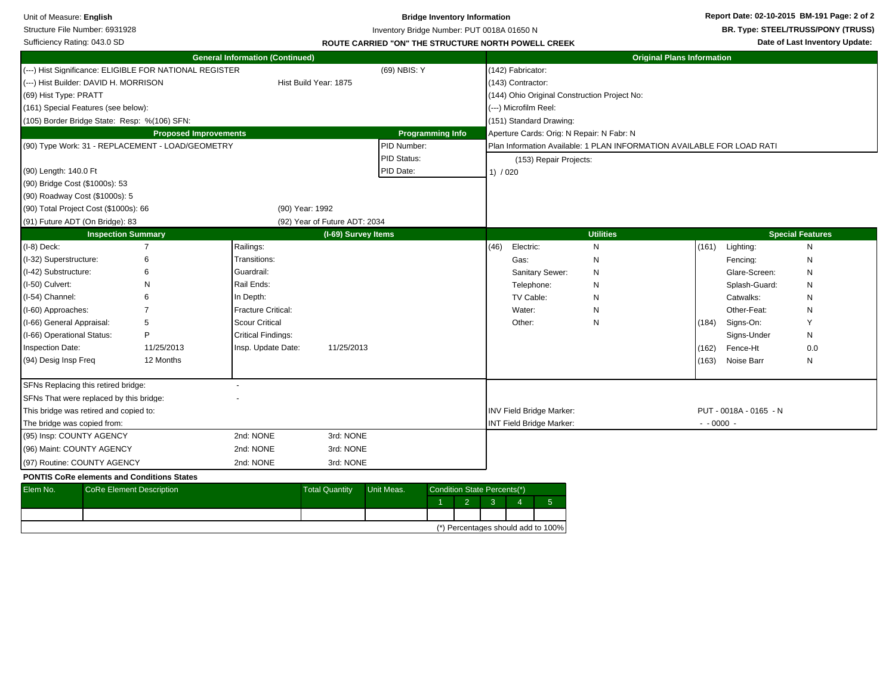| Unit of Measure: English<br>Structure File Number: 6931928<br>Sufficiency Rating: 043.0 SD                                                                                                                                                                                                           |                                                         |                                                                                                                                                                      | <b>Bridge Inventory Information</b><br>Inventory Bridge Number: PUT 0018A 01650 N<br>ROUTE CARRIED "ON" THE STRUCTURE NORTH POWELL CREEK |                                         |                                               |                                                                                                                                            |                                 | Report Date: 02-10-2015 BM-191 Page: 2 of 2<br>BR. Type: STEEL/TRUSS/PONY (TRUSS)<br>Date of Last Inventory Update: |                                                                                                                                           |                                             |  |
|------------------------------------------------------------------------------------------------------------------------------------------------------------------------------------------------------------------------------------------------------------------------------------------------------|---------------------------------------------------------|----------------------------------------------------------------------------------------------------------------------------------------------------------------------|------------------------------------------------------------------------------------------------------------------------------------------|-----------------------------------------|-----------------------------------------------|--------------------------------------------------------------------------------------------------------------------------------------------|---------------------------------|---------------------------------------------------------------------------------------------------------------------|-------------------------------------------------------------------------------------------------------------------------------------------|---------------------------------------------|--|
|                                                                                                                                                                                                                                                                                                      |                                                         | <b>General Information (Continued)</b>                                                                                                                               |                                                                                                                                          |                                         |                                               |                                                                                                                                            |                                 | <b>Original Plans Information</b>                                                                                   |                                                                                                                                           |                                             |  |
| (---) Hist Builder: DAVID H. MORRISON<br>(69) Hist Type: PRATT<br>(161) Special Features (see below):<br>(105) Border Bridge State: Resp: %(106) SFN:                                                                                                                                                | (---) Hist Significance: ELIGIBLE FOR NATIONAL REGISTER |                                                                                                                                                                      | Hist Build Year: 1875                                                                                                                    | (69) NBIS: Y                            |                                               | (142) Fabricator:<br>(143) Contractor:<br>(144) Ohio Original Construction Project No:<br>(---) Microfilm Reel:<br>(151) Standard Drawing: |                                 |                                                                                                                     |                                                                                                                                           |                                             |  |
|                                                                                                                                                                                                                                                                                                      | <b>Proposed Improvements</b>                            |                                                                                                                                                                      |                                                                                                                                          |                                         | <b>Programming Info</b>                       | Aperture Cards: Orig: N Repair: N Fabr: N                                                                                                  |                                 |                                                                                                                     |                                                                                                                                           |                                             |  |
| (90) Length: 140.0 Ft<br>(90) Bridge Cost (\$1000s): 53<br>(90) Roadway Cost (\$1000s): 5                                                                                                                                                                                                            | (90) Type Work: 31 - REPLACEMENT - LOAD/GEOMETRY        |                                                                                                                                                                      |                                                                                                                                          | PID Number:<br>PID Status:<br>PID Date: |                                               | Plan Information Available: 1 PLAN INFORMATION AVAILABLE FOR LOAD RATI<br>(153) Repair Projects:<br>1) / 020                               |                                 |                                                                                                                     |                                                                                                                                           |                                             |  |
| (90) Total Project Cost (\$1000s): 66                                                                                                                                                                                                                                                                |                                                         |                                                                                                                                                                      | (90) Year: 1992                                                                                                                          |                                         |                                               |                                                                                                                                            |                                 |                                                                                                                     |                                                                                                                                           |                                             |  |
| (91) Future ADT (On Bridge): 83                                                                                                                                                                                                                                                                      |                                                         |                                                                                                                                                                      | (92) Year of Future ADT: 2034                                                                                                            |                                         |                                               |                                                                                                                                            |                                 |                                                                                                                     |                                                                                                                                           |                                             |  |
|                                                                                                                                                                                                                                                                                                      | <b>Inspection Summary</b>                               |                                                                                                                                                                      | (I-69) Survey Items                                                                                                                      |                                         |                                               |                                                                                                                                            | <b>Utilities</b>                |                                                                                                                     |                                                                                                                                           | <b>Special Features</b>                     |  |
| (I-8) Deck:<br>(I-32) Superstructure:<br>(I-42) Substructure:<br>(I-50) Culvert:<br>(I-54) Channel:<br>(I-60) Approaches:<br>(I-66) General Appraisal:<br>(I-66) Operational Status:<br><b>Inspection Date:</b><br>(94) Desig Insp Freg                                                              | 7<br>6<br>5<br>P<br>11/25/2013<br>12 Months             | Railings:<br>Transitions:<br>Guardrail:<br>Rail Ends:<br>In Depth:<br><b>Fracture Critical:</b><br>Scour Critical<br><b>Critical Findings:</b><br>Insp. Update Date: | 11/25/2013                                                                                                                               |                                         |                                               | (46)<br>Electric:<br>Gas:<br>Sanitary Sewer:<br>Telephone:<br>TV Cable:<br>Water:<br>Other:                                                | N<br>N<br>N<br>N<br>N<br>N<br>N | (161)<br>(184)<br>(162)<br>(163)                                                                                    | Lighting:<br>Fencing:<br>Glare-Screen:<br>Splash-Guard:<br>Catwalks:<br>Other-Feat:<br>Signs-On:<br>Signs-Under<br>Fence-Ht<br>Noise Barr | N<br>N<br>N<br>N<br>N<br>N<br>N<br>0.0<br>N |  |
| SFNs Replacing this retired bridge:<br>SFNs That were replaced by this bridge:<br>This bridge was retired and copied to:<br>The bridge was copied from:<br>(95) Insp: COUNTY AGENCY<br>(96) Maint: COUNTY AGENCY<br>(97) Routine: COUNTY AGENCY<br><b>PONTIS CoRe elements and Conditions States</b> |                                                         | 2nd: NONE<br>2nd: NONE<br>2nd: NONE                                                                                                                                  | 3rd: NONE<br>3rd: NONE<br>3rd: NONE                                                                                                      |                                         |                                               | <b>INV Field Bridge Marker:</b><br><b>INT Field Bridge Marker:</b>                                                                         |                                 | $- 0000 -$                                                                                                          | PUT - 0018A - 0165 - N                                                                                                                    |                                             |  |
| Elem No.                                                                                                                                                                                                                                                                                             | <b>CoRe Element Description</b>                         |                                                                                                                                                                      | <b>Total Quantity</b>                                                                                                                    | Unit Meas.                              | Condition State Percents(*)<br>$\overline{2}$ | $5\phantom{.0}$<br>3<br>$\boldsymbol{\varDelta}$                                                                                           |                                 |                                                                                                                     |                                                                                                                                           |                                             |  |

(\*) Percentages should add to 100%